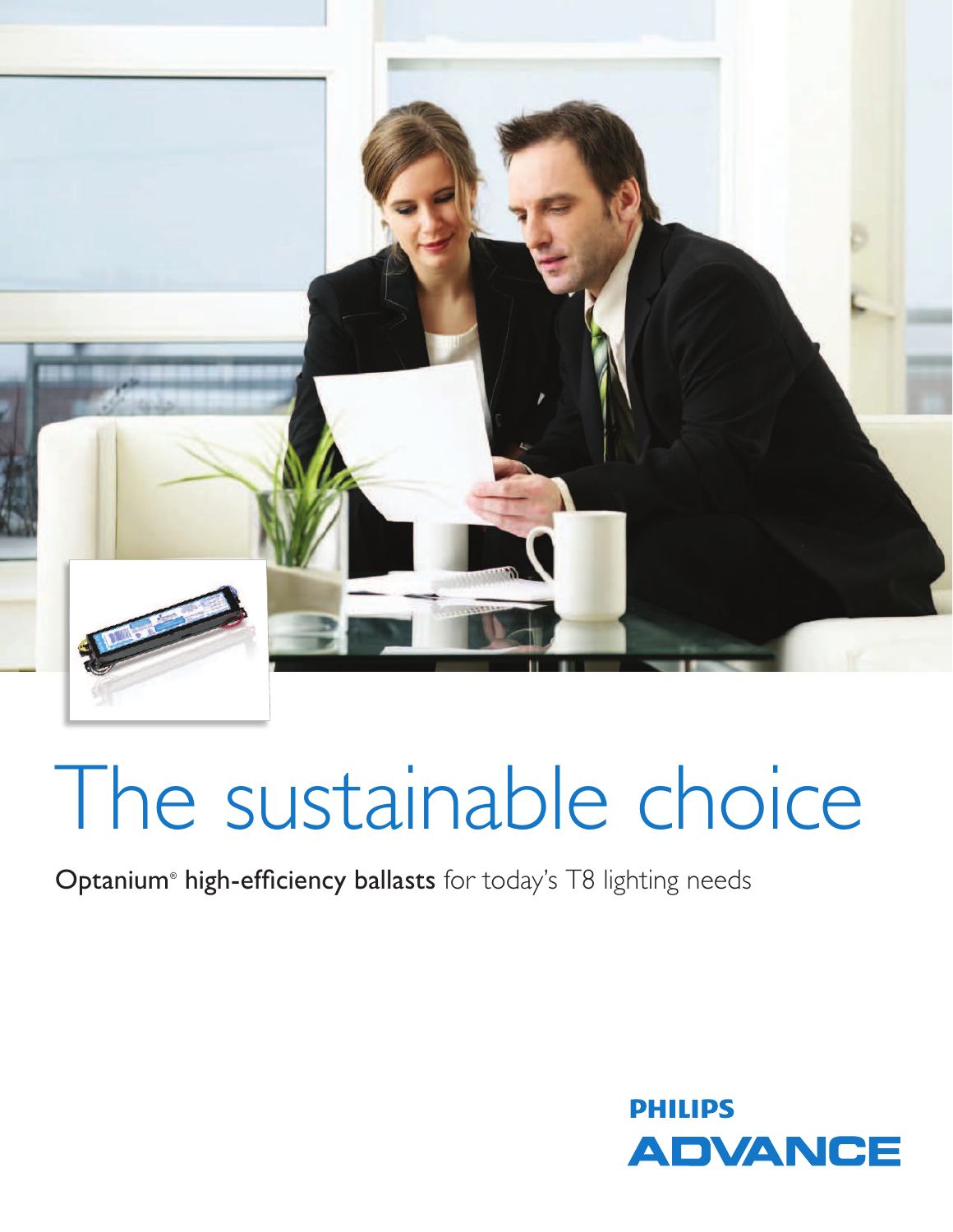

# The sustainable choice

### Optanium<sup>®</sup> high-efficiency ballasts for today's T8 lighting needs

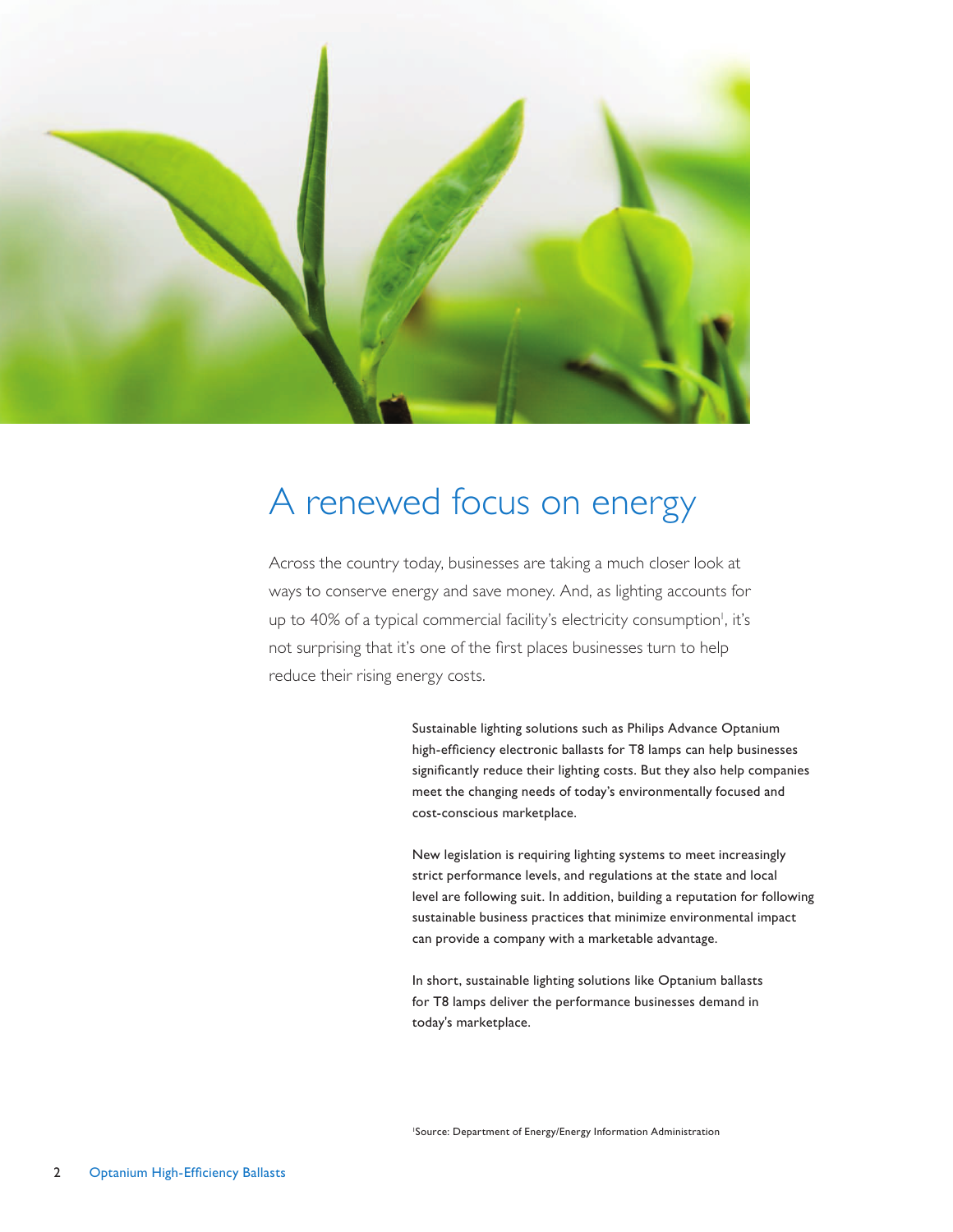

### A renewed focus on energy

Across the country today, businesses are taking a much closer look at ways to conserve energy and save money. And, as lighting accounts for up to 40% of a typical commercial facility's electricity consumption<sup>1</sup>, it's not surprising that it's one of the first places businesses turn to help reduce their rising energy costs.

> Sustainable lighting solutions such as Philips Advance Optanium high-efficiency electronic ballasts for T8 lamps can help businesses significantly reduce their lighting costs. But they also help companies meet the changing needs of today's environmentally focused and cost-conscious marketplace.

New legislation is requiring lighting systems to meet increasingly strict performance levels, and regulations at the state and local level are following suit. In addition, building a reputation for following sustainable business practices that minimize environmental impact can provide a company with a marketable advantage.

In short, sustainable lighting solutions like Optanium ballasts for T8 lamps deliver the performance businesses demand in today's marketplace.

<sup>1</sup>Source: Department of Energy/Energy Information Administration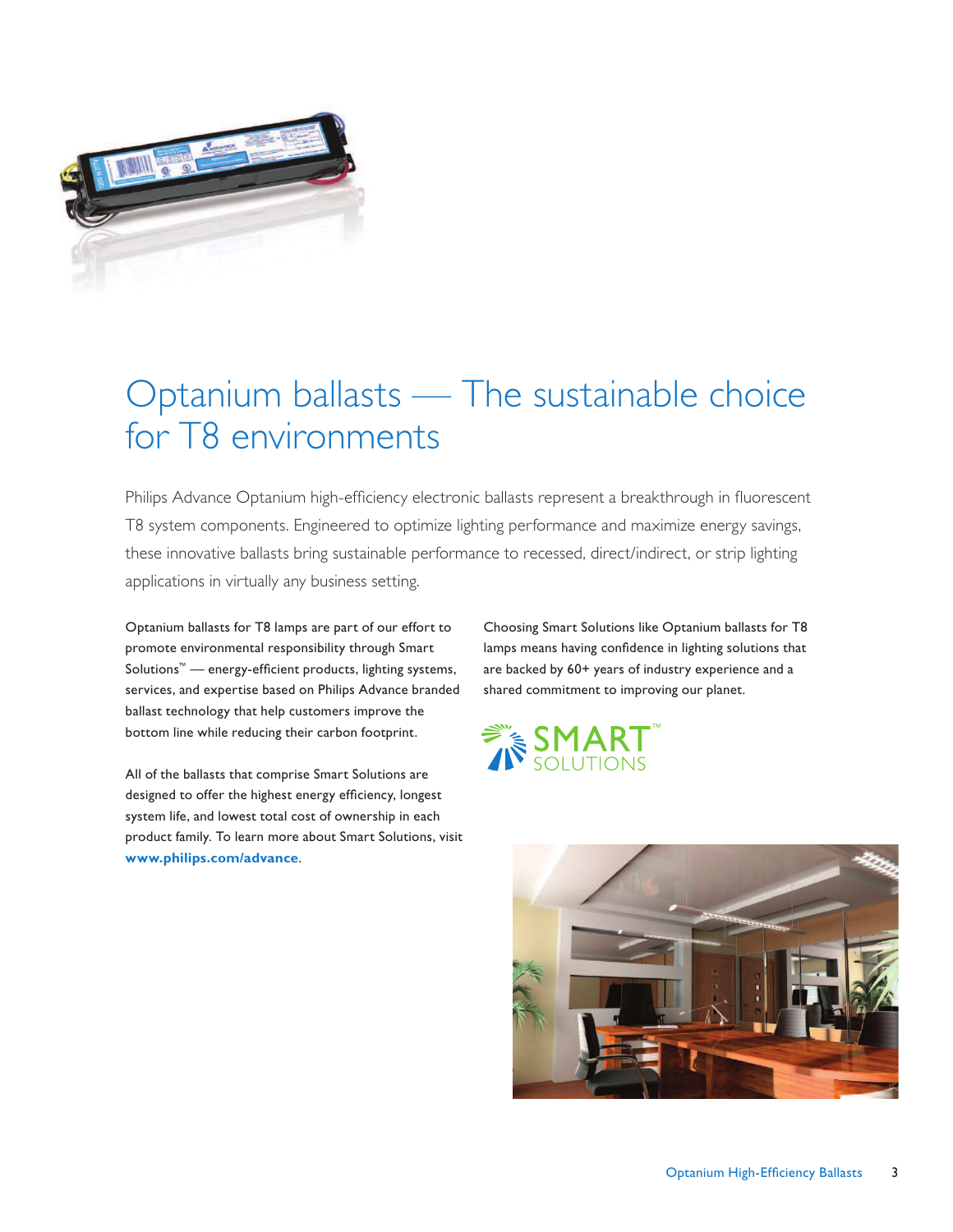

## Optanium ballasts — The sustainable choice for T8 environments

Philips Advance Optanium high-efficiency electronic ballasts represent a breakthrough in fluorescent T8 system components. Engineered to optimize lighting performance and maximize energy savings, these innovative ballasts bring sustainable performance to recessed, direct/indirect, or strip lighting applications in virtually any business setting.

Optanium ballasts for T8 lamps are part of our effort to promote environmental responsibility through Smart Solutions<sup>™</sup> — energy-efficient products, lighting systems, services, and expertise based on Philips Advance branded ballast technology that help customers improve the bottom line while reducing their carbon footprint.

All of the ballasts that comprise Smart Solutions are designed to offer the highest energy efficiency, longest system life, and lowest total cost of ownership in each product family. To learn more about Smart Solutions, visit **www.philips.com/advance**.

Choosing Smart Solutions like Optanium ballasts for T8 lamps means having confidence in lighting solutions that are backed by 60+ years of industry experience and a shared commitment to improving our planet.



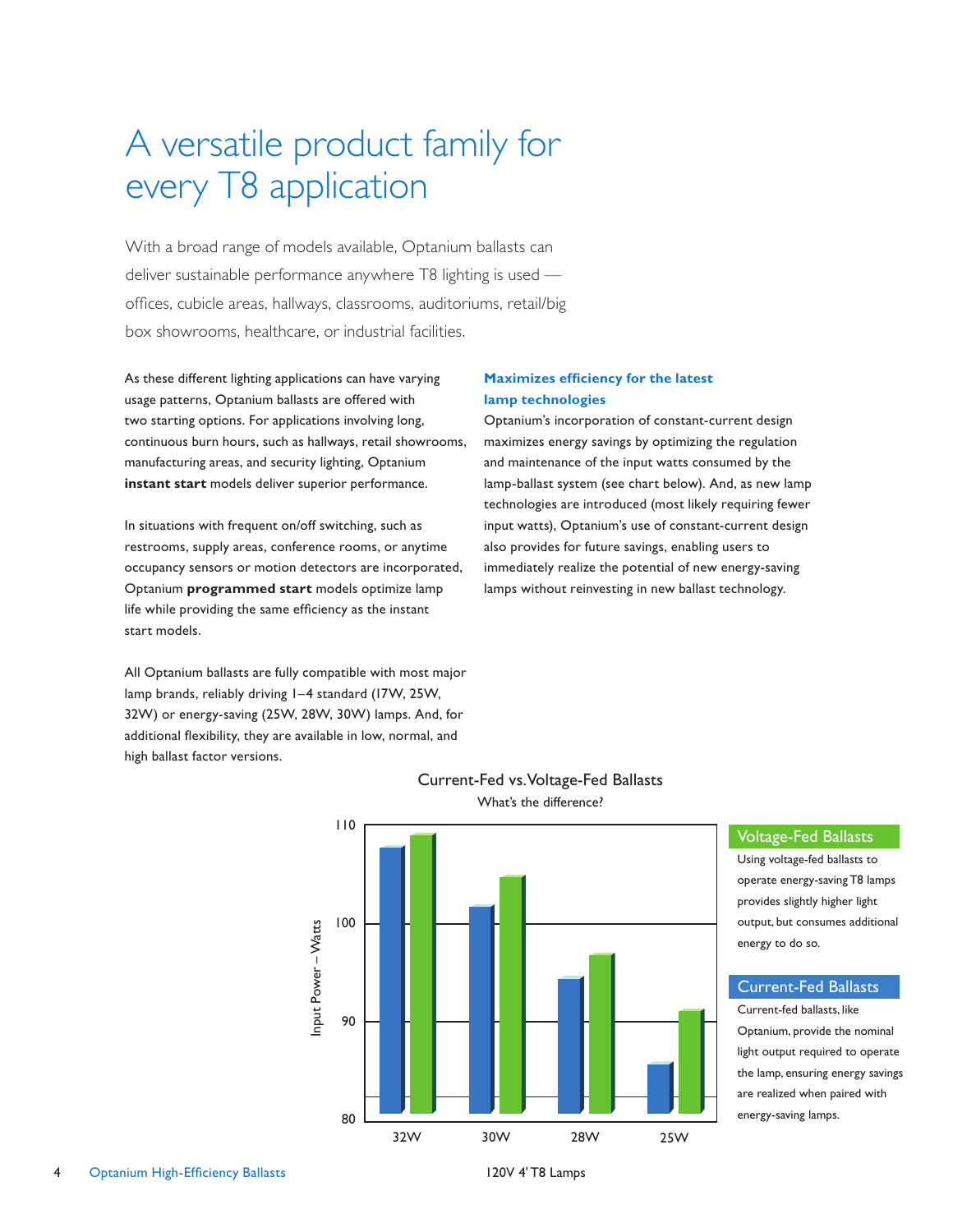### A versatile product family for every T8 application

With a broad range of models available, Optanium ballasts can deliver sustainable performance anywhere T8 lighting is used offices, cubicle areas, hallways, classrooms, auditoriums, retail/big box showrooms, healthcare, or industrial facilities.

As these different lighting applications can have varying usage patterns, Optanium ballasts are offered with two starting options. For applications involving long, continuous burn hours, such as hallways, retail showrooms, manufacturing areas, and security lighting, Optanium **instant start** models deliver superior performance.

In situations with frequent on/off switching, such as restrooms, supply areas, conference rooms, or anytime occupancy sensors or motion detectors are incorporated, Optanium **programmed start** models optimize lamp life while providing the same efficiency as the instant start models.

All Optanium ballasts are fully compatible with most major lamp brands, reliably driving 1–4 standard (17W, 25W, 32W) or energy-saving (25W, 28W, 30W) lamps. And, for additional flexibility, they are available in low, normal, and high ballast factor versions.

#### **Maximizes efficiency for the latest lamp technologies**

Optanium's incorporation of constant-current design maximizes energy savings by optimizing the regulation and maintenance of the input watts consumed by the lamp-ballast system (see chart below). And, as new lamp technologies are introduced (most likely requiring fewer input watts), Optanium's use of constant-current design also provides for future savings, enabling users to immediately realize the potential of new energy-saving lamps without reinvesting in new ballast technology.



#### Current-Fed vs. Voltage-Fed Ballasts What's the difference?

### Voltage-Fed Ballasts

Using voltage-fed ballasts to operate energy-saving T8 lamps provides slightly higher light output, but consumes additional energy to do so.

#### Current-Fed Ballasts

Current-fed ballasts, like Optanium, provide the nominal light output required to operate the lamp, ensuring energy savings are realized when paired with energy-saving lamps.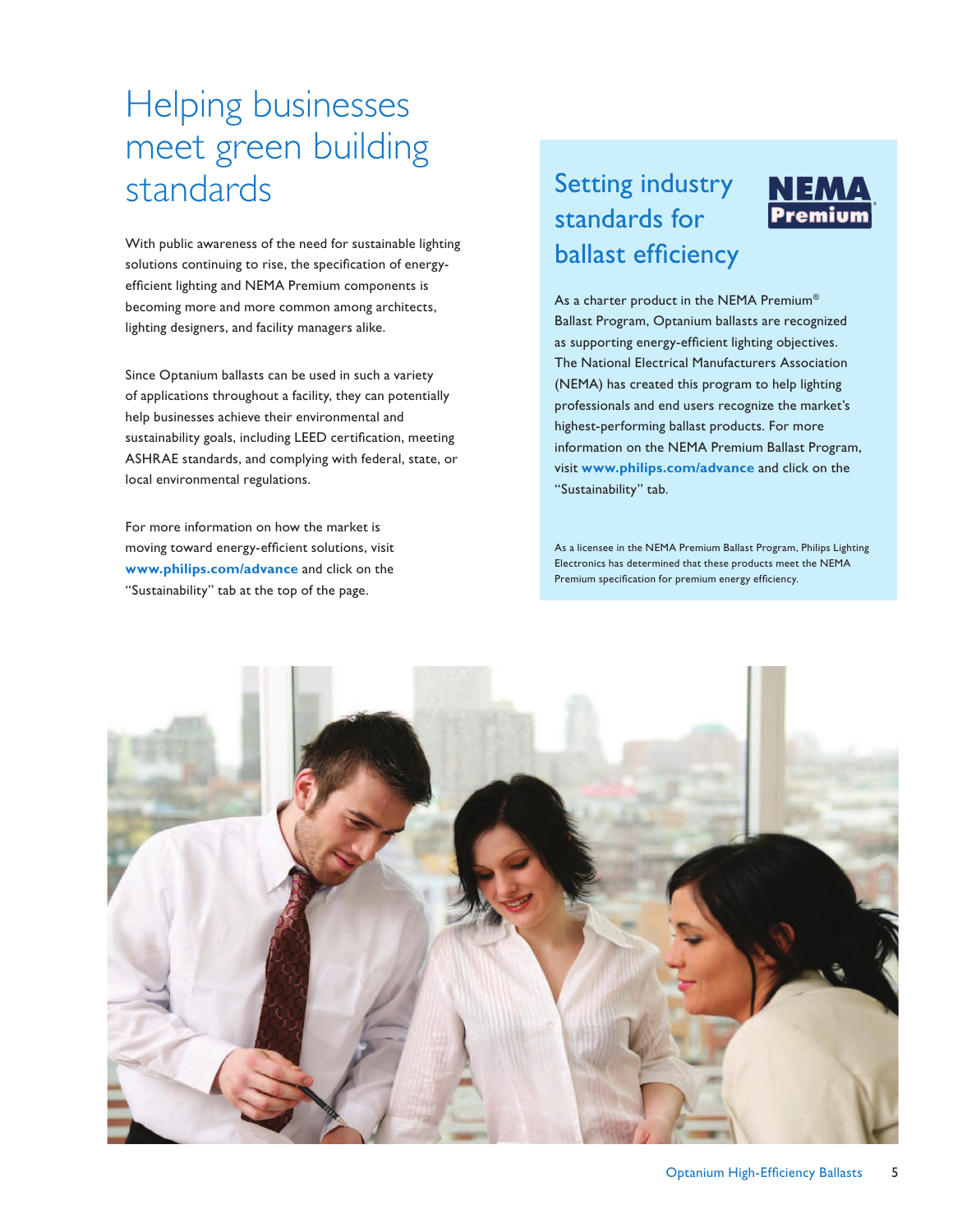### Helping businesses meet green building standards

With public awareness of the need for sustainable lighting solutions continuing to rise, the specification of energyefficient lighting and NEMA Premium components is becoming more and more common among architects, lighting designers, and facility managers alike.

Since Optanium ballasts can be used in such a variety of applications throughout a facility, they can potentially help businesses achieve their environmental and sustainability goals, including LEED certification, meeting ASHRAE standards, and complying with federal, state, or local environmental regulations.

For more information on how the market is moving toward energy-efficient solutions, visit **www.philips.com/advance** and click on the "Sustainability" tab at the top of the page.

### Setting industry standards for ballast efficiency



NEMA Premium

As a licensee in the NEMA Premium Ballast Program, Philips Lighting Electronics has determined that these products meet the NEMA Premium specification for premium energy efficiency.

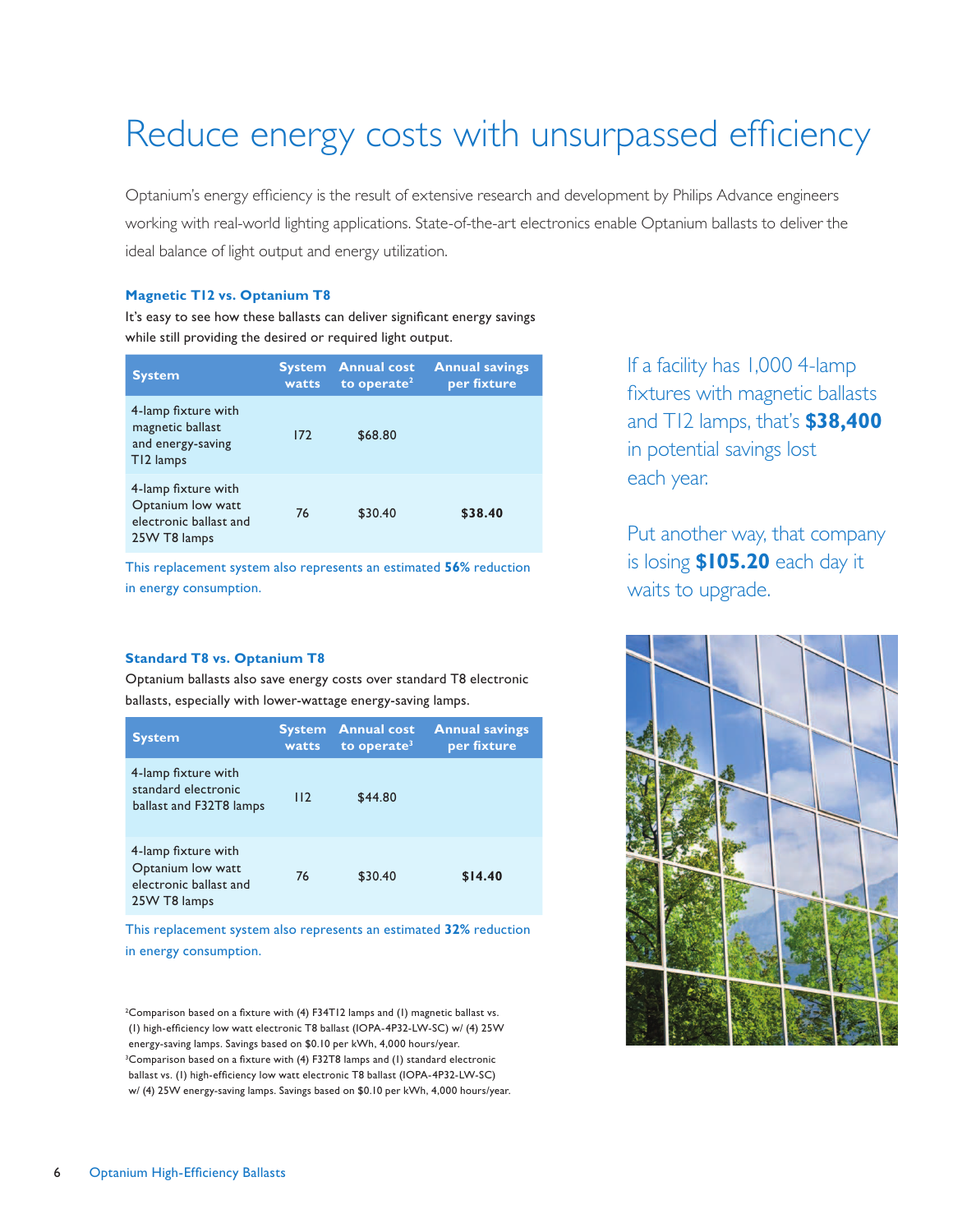# Reduce energy costs with unsurpassed efficiency

Optanium's energy efficiency is the result of extensive research and development by Philips Advance engineers working with real-world lighting applications. State-of-the-art electronics enable Optanium ballasts to deliver the ideal balance of light output and energy utilization.

#### **Magnetic T12 vs. Optanium T8**

It's easy to see how these ballasts can deliver significant energy savings while still providing the desired or required light output.

| <b>System</b>                                                                      | <b>System</b><br>watts | <b>Annual cost</b><br>to operate <sup>2</sup> | <b>Annual savings</b><br>per fixture |
|------------------------------------------------------------------------------------|------------------------|-----------------------------------------------|--------------------------------------|
| 4-lamp fixture with<br>magnetic ballast<br>and energy-saving<br>T12 lamps          | 172                    | \$68.80                                       |                                      |
| 4-lamp fixture with<br>Optanium low watt<br>electronic ballast and<br>25W T8 lamps | 76                     | \$30.40                                       | \$38.40                              |

This replacement system also represents an estimated **56%** reduction in energy consumption.

#### **Standard T8 vs. Optanium T8**

Optanium ballasts also save energy costs over standard T8 electronic ballasts, especially with lower-wattage energy-saving lamps.

| <b>System</b>                                                                      | <b>System</b><br>watts | <b>Annual cost</b><br>to operate <sup>3</sup> | <b>Annual savings</b><br>per fixture |
|------------------------------------------------------------------------------------|------------------------|-----------------------------------------------|--------------------------------------|
| 4-lamp fixture with<br>standard electronic<br>ballast and F32T8 lamps              | 112                    | \$44.80                                       |                                      |
| 4-lamp fixture with<br>Optanium low watt<br>electronic ballast and<br>25W T8 lamps | 76                     | \$30.40                                       | \$14.40                              |

This replacement system also represents an estimated **32%** reduction in energy consumption.

<sup>2</sup>Comparison based on a fixture with (4) F34T12 lamps and (1) magnetic ballast vs. (I) high-efficiency low watt electronic T8 ballast (IOPA-4P32-LW-SC) w/ (4) 25W energy-saving lamps. Savings based on \$0.10 per kWh, 4,000 hours/year. <sup>3</sup>Comparison based on a fixture with (4) F32T8 lamps and (1) standard electronic ballast vs. (1) high-efficiency low watt electronic T8 ballast (IOPA-4P32-LW-SC) w/ (4) 25W energy-saving lamps. Savings based on \$0.10 per kWh, 4,000 hours/year. If a facility has 1,000 4-lamp fixtures with magnetic ballasts and T12 lamps, that's **\$38,400** in potential savings lost each year.

Put another way, that company is losing **\$105.20** each day it waits to upgrade.

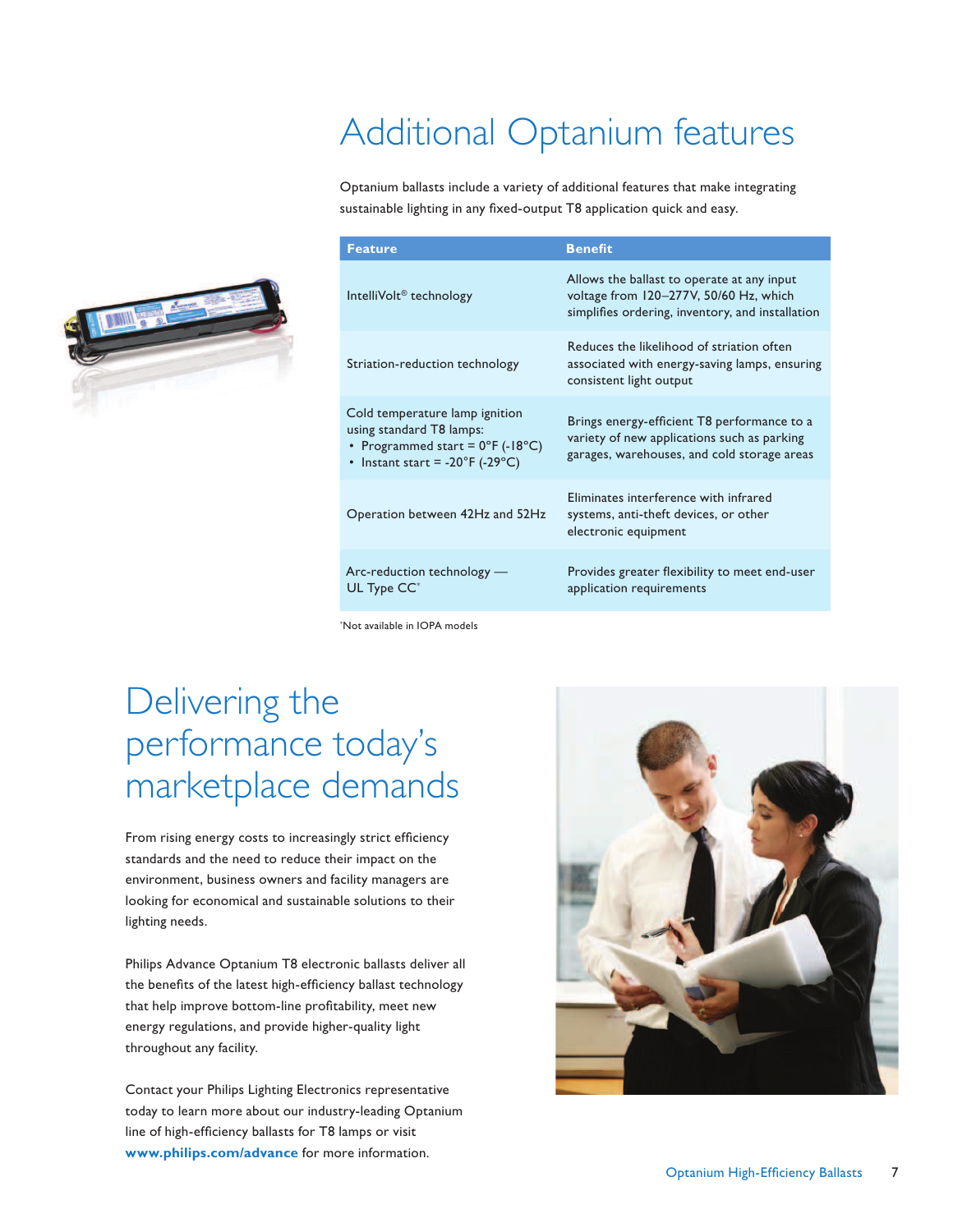# Additional Optanium features

Optanium ballasts include a variety of additional features that make integrating sustainable lighting in any fixed-output T8 application quick and easy.



\*Not available in IOPA models

### Delivering the performance today's marketplace demands

From rising energy costs to increasingly strict efficiency standards and the need to reduce their impact on the environment, business owners and facility managers are looking for economical and sustainable solutions to their lighting needs.

Philips Advance Optanium T8 electronic ballasts deliver all the benefits of the latest high-efficiency ballast technology that help improve bottom-line profitability, meet new energy regulations, and provide higher-quality light throughout any facility.

Contact your Philips Lighting Electronics representative today to learn more about our industry-leading Optanium line of high-efficiency ballasts for T8 lamps or visit **www.philips.com/advance** for more information.